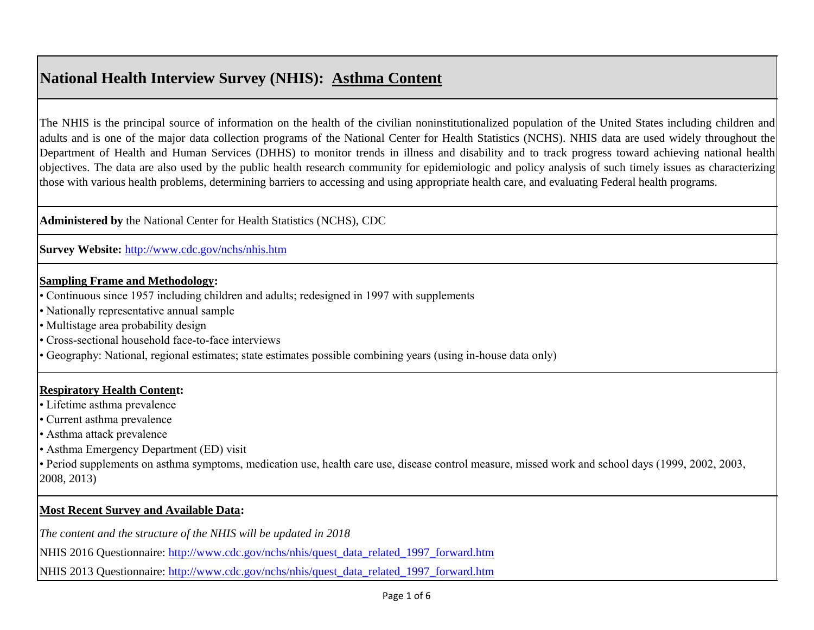# **National Health Interview Survey (NHIS): Asthma Content**

The NHIS is the principal source of information on the health of the civilian noninstitutionalized population of the United States including children and adults and is one of the major data collection programs of the National Center for Health Statistics (NCHS). NHIS data are used widely throughout the Department of Health and Human Services (DHHS) to monitor trends in illness and disability and to track progress toward achieving national health objectives. The data are also used by the public health research community for epidemiologic and policy analysis of such timely issues as characterizing those with various health problems, determining barriers to accessing and using appropriate health care, and evaluating Federal health programs.

**Administered by** the National Center for Health Statistics (NCHS), CDC

**[Survey Website:](http://www.cdc.gov/nchs/nhis.htm)** <http://www.cdc.gov/nchs/nhis.htm>

## **Sampling Frame and Methodology:**

- Continuous since 1957 including children and adults; redesigned in 1997 with supplements
- Nationally representative annual sample
- Multistage area probability design
- Cross-sectional household face-to-face interviews
- Geography: National, regional estimates; state estimates possible combining years (using in-house data only)

# **Respiratory Health Content:**

- Lifetime asthma prevalence
- Current asthma prevalence
- Asthma attack prevalence
- Asthma Emergency Department (ED) visit

• Period supplements on asthma symptoms, medication use, health care use, disease control measure, missed work and school days (1999, 2002, 2003, 2008, 2013)

# **Most Recent Survey and Available Data:**

*The content and the structure of the NHIS will be updated in 2018*

[NHIS 2016 Questionnaire:](http://www.cdc.gov/nchs/nhis/quest_data_related_1997_forward.htm) [http://www.cdc.gov/nchs/nhis/quest\\_data\\_related\\_1997\\_forward.htm](http://www.cdc.gov/nchs/nhis/quest_data_related_1997_forward.htm)

[NHIS 2013 Questionnaire:](http://www.cdc.gov/nchs/nhis/quest_data_related_1997_forward.htm) [http://www.cdc.gov/nchs/nhis/quest\\_data\\_related\\_1997\\_forward.htm](http://www.cdc.gov/nchs/nhis/quest_data_related_1997_forward.htm)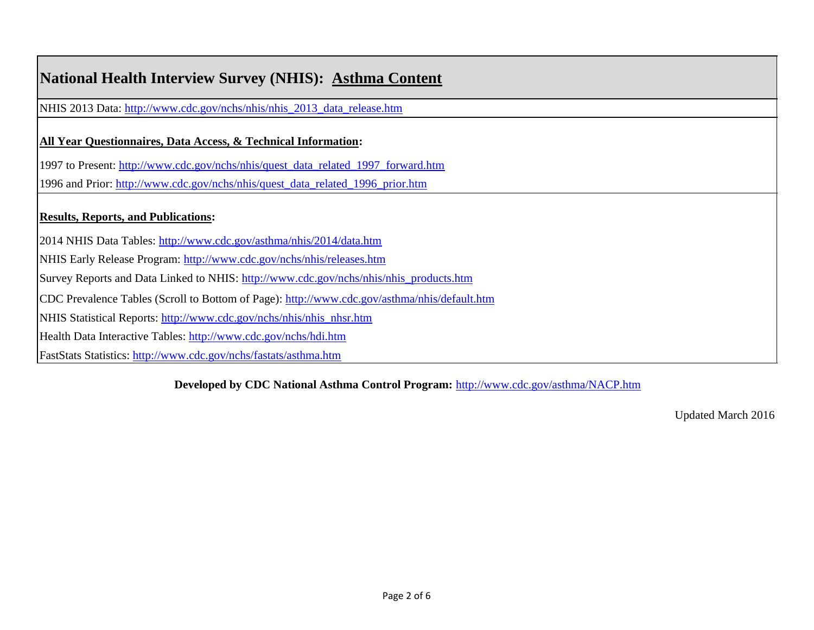| <b>National Health Interview Survey (NHIS): Asthma Content</b>                               |
|----------------------------------------------------------------------------------------------|
| NHIS 2013 Data: http://www.cdc.gov/nchs/nhis/nhis_2013_data_release.htm                      |
| <b>All Year Questionnaires, Data Access, &amp; Technical Information:</b>                    |
| 1997 to Present: http://www.cdc.gov/nchs/nhis/quest_data_related_1997_forward.htm            |
| 1996 and Prior: http://www.cdc.gov/nchs/nhis/quest_data_related_1996_prior.htm               |
| <b>Results, Reports, and Publications:</b>                                                   |
| 2014 NHIS Data Tables: http://www.cdc.gov/asthma/nhis/2014/data.htm                          |
| NHIS Early Release Program: http://www.cdc.gov/nchs/nhis/releases.htm                        |
| Survey Reports and Data Linked to NHIS: http://www.cdc.gov/nchs/nhis/nhis_products.htm       |
| CDC Prevalence Tables (Scroll to Bottom of Page): http://www.cdc.gov/asthma/nhis/default.htm |
| NHIS Statistical Reports: http://www.cdc.gov/nchs/nhis/nhis_nhsr.htm                         |
| Health Data Interactive Tables: http://www.cdc.gov/nchs/hdi.htm                              |
| FastStats Statistics: http://www.cdc.gov/nchs/fastats/asthma.htm                             |

**[Developed by CDC National Asthma Control Program:](http://www.cdc.gov/asthma/NACP.htm)** <http://www.cdc.gov/asthma/NACP.htm>

Updated March 2016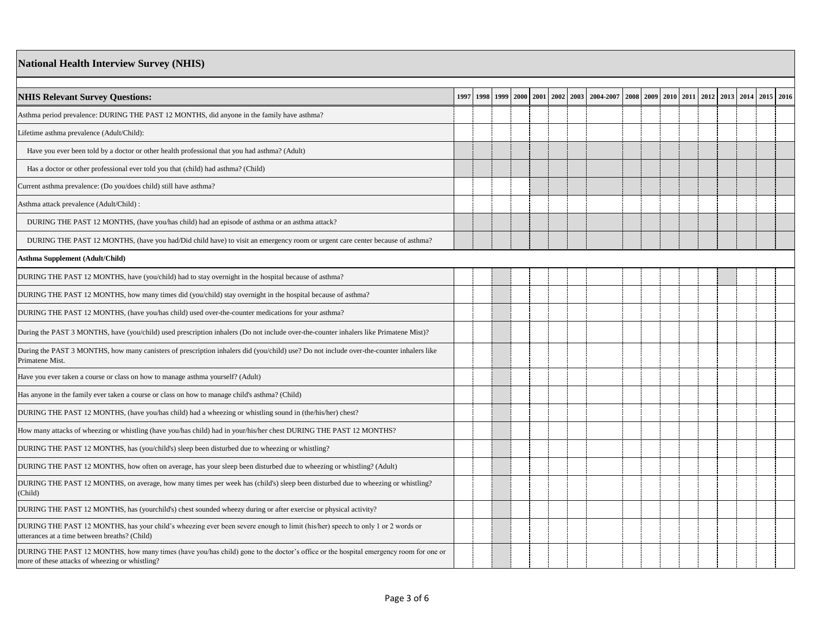#### **National Health Interview Survey (NHIS)**

| <b>NHIS Relevant Survey Questions:</b>                                                                                                                                                  | 1997 | 1998 | 1999 2000 2001 | 2002 2003 | 2004-2007 |  | 2008 2009 2010 | 2011 2012 | 2013 | 2014 2015 2016 |  |
|-----------------------------------------------------------------------------------------------------------------------------------------------------------------------------------------|------|------|----------------|-----------|-----------|--|----------------|-----------|------|----------------|--|
| Asthma period prevalence: DURING THE PAST 12 MONTHS, did anyone in the family have asthma?                                                                                              |      |      |                |           |           |  |                |           |      |                |  |
| .ifetime asthma prevalence (Adult/Child):                                                                                                                                               |      |      |                |           |           |  |                |           |      |                |  |
| Have you ever been told by a doctor or other health professional that you had asthma? (Adult)                                                                                           |      |      |                |           |           |  |                |           |      |                |  |
| Has a doctor or other professional ever told you that (child) had asthma? (Child)                                                                                                       |      |      |                |           |           |  |                |           |      |                |  |
| Current asthma prevalence: (Do you/does child) still have asthma?                                                                                                                       |      |      |                |           |           |  |                |           |      |                |  |
| Asthma attack prevalence (Adult/Child) :                                                                                                                                                |      |      |                |           |           |  |                |           |      |                |  |
| DURING THE PAST 12 MONTHS, (have you/has child) had an episode of asthma or an asthma attack?                                                                                           |      |      |                |           |           |  |                |           |      |                |  |
| DURING THE PAST 12 MONTHS, (have you had/Did child have) to visit an emergency room or urgent care center because of asthma?                                                            |      |      |                |           |           |  |                |           |      |                |  |
| Asthma Supplement (Adult/Child)                                                                                                                                                         |      |      |                |           |           |  |                |           |      |                |  |
| DURING THE PAST 12 MONTHS, have (you/child) had to stay overnight in the hospital because of asthma?                                                                                    |      |      |                |           |           |  |                |           |      |                |  |
| DURING THE PAST 12 MONTHS, how many times did (you/child) stay overnight in the hospital because of asthma?                                                                             |      |      |                |           |           |  |                |           |      |                |  |
| DURING THE PAST 12 MONTHS, (have you/has child) used over-the-counter medications for your asthma?                                                                                      |      |      |                |           |           |  |                |           |      |                |  |
| During the PAST 3 MONTHS, have (you/child) used prescription inhalers (Do not include over-the-counter inhalers like Primatene Mist)?                                                   |      |      |                |           |           |  |                |           |      |                |  |
| During the PAST 3 MONTHS, how many canisters of prescription inhalers did (you/child) use? Do not include over-the-counter inhalers like<br>Primatene Mist.                             |      |      |                |           |           |  |                |           |      |                |  |
| Have you ever taken a course or class on how to manage asthma yourself? (Adult)                                                                                                         |      |      |                |           |           |  |                |           |      |                |  |
| Has anyone in the family ever taken a course or class on how to manage child's asthma? (Child)                                                                                          |      |      |                |           |           |  |                |           |      |                |  |
| DURING THE PAST 12 MONTHS, (have you/has child) had a wheezing or whistling sound in (the/his/her) chest?                                                                               |      |      |                |           |           |  |                |           |      |                |  |
| How many attacks of wheezing or whistling (have you/has child) had in your/his/her chest DURING THE PAST 12 MONTHS?                                                                     |      |      |                |           |           |  |                |           |      |                |  |
| DURING THE PAST 12 MONTHS, has (you/child's) sleep been disturbed due to wheezing or whistling?                                                                                         |      |      |                |           |           |  |                |           |      |                |  |
| DURING THE PAST 12 MONTHS, how often on average, has your sleep been disturbed due to wheezing or whistling? (Adult)                                                                    |      |      |                |           |           |  |                |           |      |                |  |
| DURING THE PAST 12 MONTHS, on average, how many times per week has (child's) sleep been disturbed due to wheezing or whistling?<br>(Child)                                              |      |      |                |           |           |  |                |           |      |                |  |
| DURING THE PAST 12 MONTHS, has (yourchild's) chest sounded wheezy during or after exercise or physical activity?                                                                        |      |      |                |           |           |  |                |           |      |                |  |
| DURING THE PAST 12 MONTHS, has your child's wheezing ever been severe enough to limit (his/her) speech to only 1 or 2 words or<br>itterances at a time between breaths? (Child)         |      |      |                |           |           |  |                |           |      |                |  |
| DURING THE PAST 12 MONTHS, how many times (have you/has child) gone to the doctor's office or the hospital emergency room for one or<br>more of these attacks of wheezing or whistling? |      |      |                |           |           |  |                |           |      |                |  |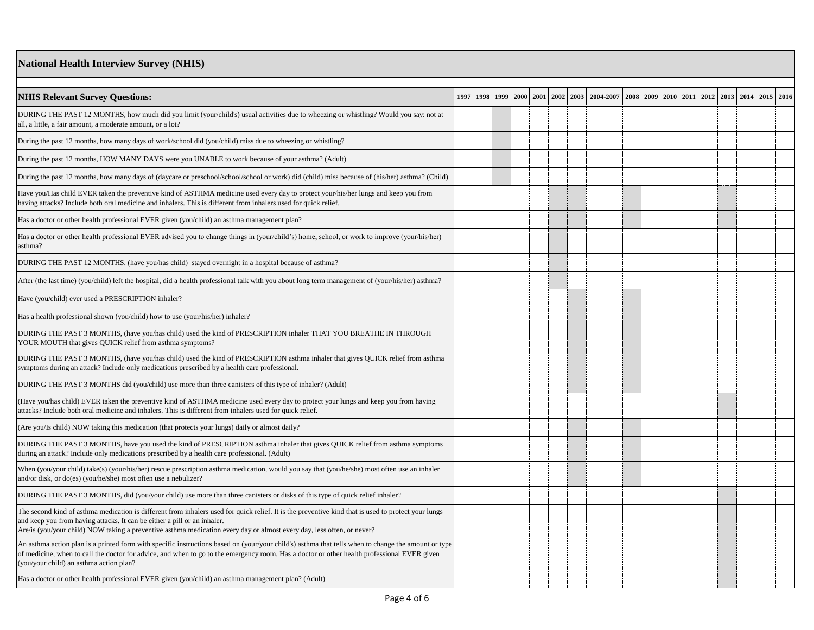## **National Health Interview Survey (NHIS)**

| <b>NHIS Relevant Survey Questions:</b>                                                                                                                                                                                                                                                                                                                    | 1997 | 1998 |  | 1999 2000 2001 2002 2003 | 2004-2007 |  |  |  | 2008 2009 2010 2011 2012 2013 2014 2015 2016 |  |
|-----------------------------------------------------------------------------------------------------------------------------------------------------------------------------------------------------------------------------------------------------------------------------------------------------------------------------------------------------------|------|------|--|--------------------------|-----------|--|--|--|----------------------------------------------|--|
| DURING THE PAST 12 MONTHS, how much did you limit (your/child's) usual activities due to wheezing or whistling? Would you say: not at<br>all, a little, a fair amount, a moderate amount, or a lot?                                                                                                                                                       |      |      |  |                          |           |  |  |  |                                              |  |
| During the past 12 months, how many days of work/school did (you/child) miss due to wheezing or whistling?                                                                                                                                                                                                                                                |      |      |  |                          |           |  |  |  |                                              |  |
| During the past 12 months, HOW MANY DAYS were you UNABLE to work because of your asthma? (Adult)                                                                                                                                                                                                                                                          |      |      |  |                          |           |  |  |  |                                              |  |
| During the past 12 months, how many days of (daycare or preschool/school/school or work) did (child) miss because of (his/her) asthma? (Child)                                                                                                                                                                                                            |      |      |  |                          |           |  |  |  |                                              |  |
| Have you/Has child EVER taken the preventive kind of ASTHMA medicine used every day to protect your/his/her lungs and keep you from<br>having attacks? Include both oral medicine and inhalers. This is different from inhalers used for quick relief.                                                                                                    |      |      |  |                          |           |  |  |  |                                              |  |
| Has a doctor or other health professional EVER given (you/child) an asthma management plan?                                                                                                                                                                                                                                                               |      |      |  |                          |           |  |  |  |                                              |  |
| Has a doctor or other health professional EVER advised you to change things in (your/child's) home, school, or work to improve (your/his/her)<br>asthma?                                                                                                                                                                                                  |      |      |  |                          |           |  |  |  |                                              |  |
| DURING THE PAST 12 MONTHS, (have you/has child) stayed overnight in a hospital because of asthma?                                                                                                                                                                                                                                                         |      |      |  |                          |           |  |  |  |                                              |  |
| After (the last time) (you/child) left the hospital, did a health professional talk with you about long term management of (your/his/her) asthma?                                                                                                                                                                                                         |      |      |  |                          |           |  |  |  |                                              |  |
| Have (you/child) ever used a PRESCRIPTION inhaler?                                                                                                                                                                                                                                                                                                        |      |      |  |                          |           |  |  |  |                                              |  |
| Has a health professional shown (you/child) how to use (your/his/her) inhaler?                                                                                                                                                                                                                                                                            |      |      |  |                          |           |  |  |  |                                              |  |
| DURING THE PAST 3 MONTHS, (have you/has child) used the kind of PRESCRIPTION inhaler THAT YOU BREATHE IN THROUGH<br>YOUR MOUTH that gives QUICK relief from asthma symptoms?                                                                                                                                                                              |      |      |  |                          |           |  |  |  |                                              |  |
| DURING THE PAST 3 MONTHS, (have you/has child) used the kind of PRESCRIPTION asthma inhaler that gives QUICK relief from asthma<br>symptoms during an attack? Include only medications prescribed by a health care professional.                                                                                                                          |      |      |  |                          |           |  |  |  |                                              |  |
| DURING THE PAST 3 MONTHS did (you/child) use more than three canisters of this type of inhaler? (Adult)                                                                                                                                                                                                                                                   |      |      |  |                          |           |  |  |  |                                              |  |
| Have you/has child) EVER taken the preventive kind of ASTHMA medicine used every day to protect your lungs and keep you from having<br>attacks? Include both oral medicine and inhalers. This is different from inhalers used for quick relief.                                                                                                           |      |      |  |                          |           |  |  |  |                                              |  |
| Are you/Is child) NOW taking this medication (that protects your lungs) daily or almost daily?                                                                                                                                                                                                                                                            |      |      |  |                          |           |  |  |  |                                              |  |
| DURING THE PAST 3 MONTHS, have you used the kind of PRESCRIPTION asthma inhaler that gives QUICK relief from asthma symptoms<br>during an attack? Include only medications prescribed by a health care professional. (Adult)                                                                                                                              |      |      |  |                          |           |  |  |  |                                              |  |
| When (you/your child) take(s) (your/his/her) rescue prescription asthma medication, would you say that (you/he/she) most often use an inhaler<br>and/or disk, or do(es) (you/he/she) most often use a nebulizer?                                                                                                                                          |      |      |  |                          |           |  |  |  |                                              |  |
| DURING THE PAST 3 MONTHS, did (you/your child) use more than three canisters or disks of this type of quick relief inhaler?                                                                                                                                                                                                                               |      |      |  |                          |           |  |  |  |                                              |  |
| The second kind of asthma medication is different from inhalers used for quick relief. It is the preventive kind that is used to protect your lungs<br>and keep you from having attacks. It can be either a pill or an inhaler.<br>Are/is (you/your child) NOW taking a preventive asthma medication every day or almost every day, less often, or never? |      |      |  |                          |           |  |  |  |                                              |  |
| An asthma action plan is a printed form with specific instructions based on (your/your child's) asthma that tells when to change the amount or type<br>of medicine, when to call the doctor for advice, and when to go to the emergency room. Has a doctor or other health professional EVER given<br>(you/your child) an asthma action plan?             |      |      |  |                          |           |  |  |  |                                              |  |
| Has a doctor or other health professional EVER given (you/child) an asthma management plan? (Adult)                                                                                                                                                                                                                                                       |      |      |  |                          |           |  |  |  |                                              |  |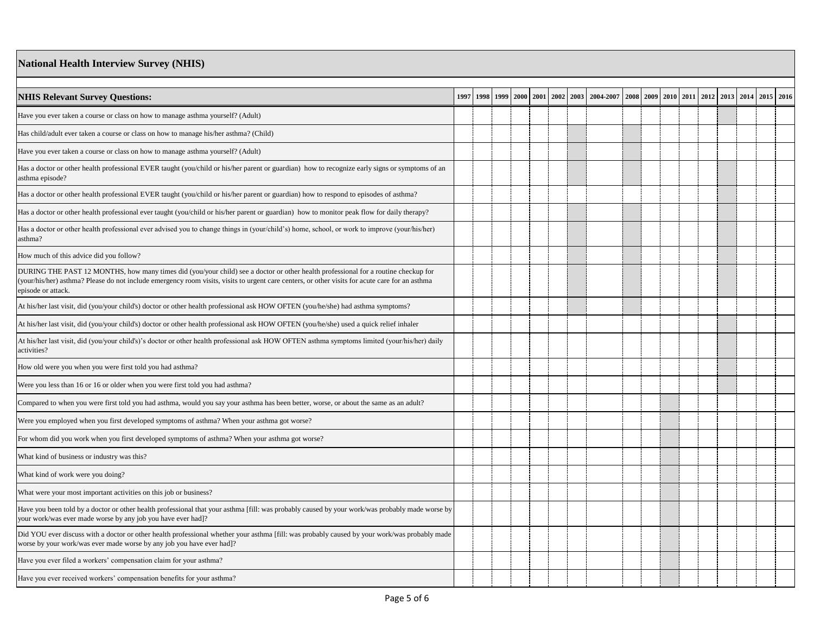### **National Health Interview Survey (NHIS)**

| <b>NHIS Relevant Survey Questions:</b>                                                                                                                                                                                                                                                                     | 1997 1998 | 1999 2000 |  | 2001 2002 2003 | 2004-2007 |  | 2008 2009 2010 2011 | 2012 | 2013 | 2014 2015 2016 |  |
|------------------------------------------------------------------------------------------------------------------------------------------------------------------------------------------------------------------------------------------------------------------------------------------------------------|-----------|-----------|--|----------------|-----------|--|---------------------|------|------|----------------|--|
| Have you ever taken a course or class on how to manage asthma yourself? (Adult)                                                                                                                                                                                                                            |           |           |  |                |           |  |                     |      |      |                |  |
| Has child/adult ever taken a course or class on how to manage his/her asthma? (Child)                                                                                                                                                                                                                      |           |           |  |                |           |  |                     |      |      |                |  |
| Have you ever taken a course or class on how to manage asthma yourself? (Adult)                                                                                                                                                                                                                            |           |           |  |                |           |  |                     |      |      |                |  |
| Has a doctor or other health professional EVER taught (you/child or his/her parent or guardian) how to recognize early signs or symptoms of an<br>asthma episode?                                                                                                                                          |           |           |  |                |           |  |                     |      |      |                |  |
| Has a doctor or other health professional EVER taught (you/child or his/her parent or guardian) how to respond to episodes of asthma?                                                                                                                                                                      |           |           |  |                |           |  |                     |      |      |                |  |
| Has a doctor or other health professional ever taught (you/child or his/her parent or guardian) how to monitor peak flow for daily therapy?                                                                                                                                                                |           |           |  |                |           |  |                     |      |      |                |  |
| Has a doctor or other health professional ever advised you to change things in (your/child's) home, school, or work to improve (your/his/her)<br>asthma?                                                                                                                                                   |           |           |  |                |           |  |                     |      |      |                |  |
| How much of this advice did you follow?                                                                                                                                                                                                                                                                    |           |           |  |                |           |  |                     |      |      |                |  |
| DURING THE PAST 12 MONTHS, how many times did (you/your child) see a doctor or other health professional for a routine checkup for<br>your/his/her) asthma? Please do not include emergency room visits, visits to urgent care centers, or other visits for acute care for an asthma<br>episode or attack. |           |           |  |                |           |  |                     |      |      |                |  |
| At his/her last visit, did (you/your child's) doctor or other health professional ask HOW OFTEN (you/he/she) had asthma symptoms?                                                                                                                                                                          |           |           |  |                |           |  |                     |      |      |                |  |
| At his/her last visit, did (you/your child's) doctor or other health professional ask HOW OFTEN (you/he/she) used a quick relief inhaler                                                                                                                                                                   |           |           |  |                |           |  |                     |      |      |                |  |
| At his/her last visit, did (you/your child's)'s doctor or other health professional ask HOW OFTEN asthma symptoms limited (your/his/her) daily<br>activities?                                                                                                                                              |           |           |  |                |           |  |                     |      |      |                |  |
| How old were you when you were first told you had asthma?                                                                                                                                                                                                                                                  |           |           |  |                |           |  |                     |      |      |                |  |
| Were you less than 16 or 16 or older when you were first told you had asthma?                                                                                                                                                                                                                              |           |           |  |                |           |  |                     |      |      |                |  |
| Compared to when you were first told you had asthma, would you say your asthma has been better, worse, or about the same as an adult?                                                                                                                                                                      |           |           |  |                |           |  |                     |      |      |                |  |
| Were you employed when you first developed symptoms of asthma? When your asthma got worse?                                                                                                                                                                                                                 |           |           |  |                |           |  |                     |      |      |                |  |
| For whom did you work when you first developed symptoms of asthma? When your asthma got worse?                                                                                                                                                                                                             |           |           |  |                |           |  |                     |      |      |                |  |
| What kind of business or industry was this?                                                                                                                                                                                                                                                                |           |           |  |                |           |  |                     |      |      |                |  |
| What kind of work were you doing?                                                                                                                                                                                                                                                                          |           |           |  |                |           |  |                     |      |      |                |  |
| What were your most important activities on this job or business?                                                                                                                                                                                                                                          |           |           |  |                |           |  |                     |      |      |                |  |
| Have you been told by a doctor or other health professional that your asthma [fill: was probably caused by your work/was probably made worse by<br>your work/was ever made worse by any job you have ever had]?                                                                                            |           |           |  |                |           |  |                     |      |      |                |  |
| Did YOU ever discuss with a doctor or other health professional whether your asthma [fill: was probably caused by your work/was probably made<br>worse by your work/was ever made worse by any job you have ever had]?                                                                                     |           |           |  |                |           |  |                     |      |      |                |  |
| Have you ever filed a workers' compensation claim for your asthma?                                                                                                                                                                                                                                         |           |           |  |                |           |  |                     |      |      |                |  |
| Have you ever received workers' compensation benefits for your asthma?                                                                                                                                                                                                                                     |           |           |  |                |           |  |                     |      |      |                |  |